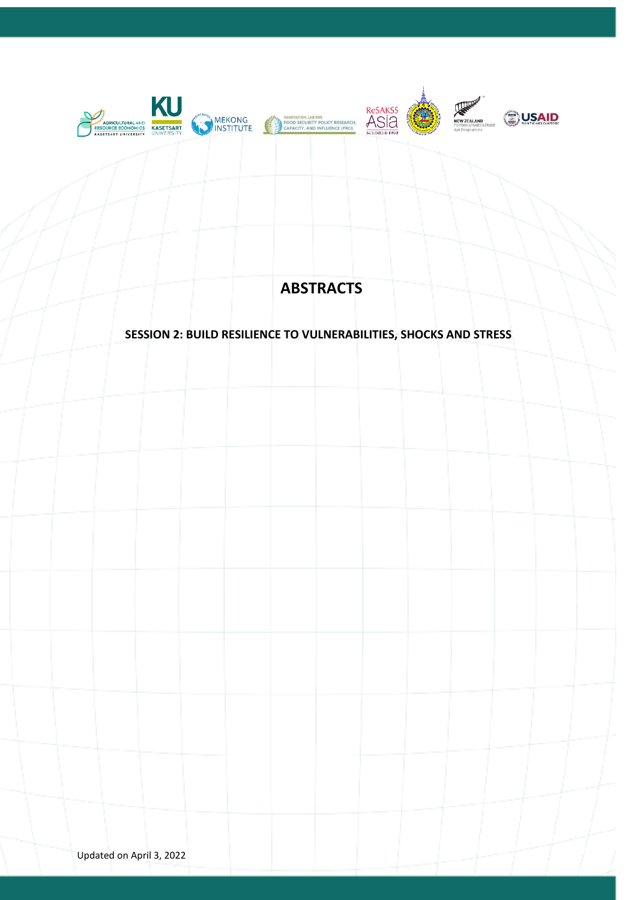

# **ABSTRACTS**

# **SESSION 2: BUILD RESILIENCE TO VULNERABILITIES, SHOCKS AND STRESS**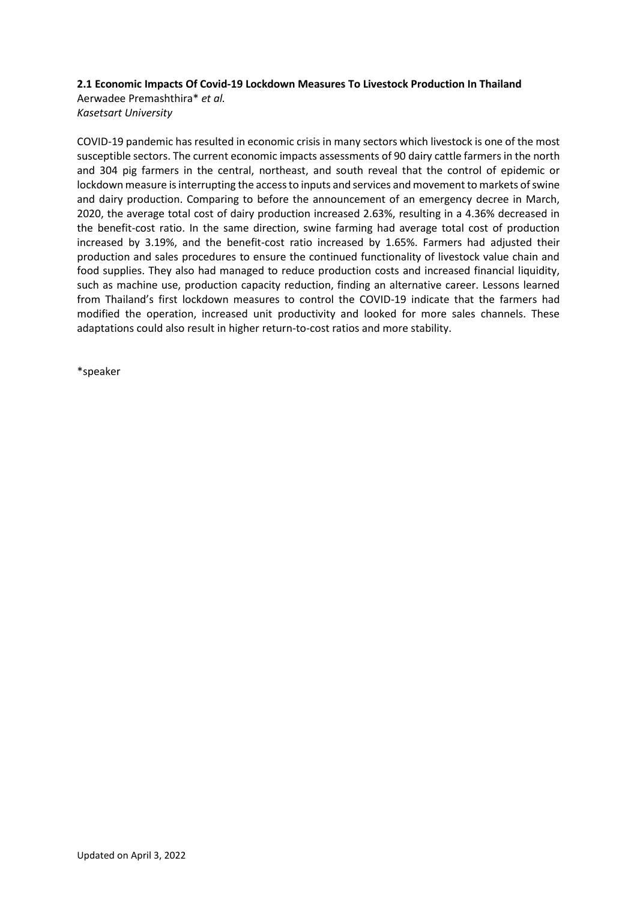#### **2.1 Economic Impacts Of Covid-19 Lockdown Measures To Livestock Production In Thailand**

Aerwadee Premashthira\* *et al. Kasetsart University*

COVID-19 pandemic has resulted in economic crisis in many sectors which livestock is one of the most susceptible sectors. The current economic impacts assessments of 90 dairy cattle farmers in the north and 304 pig farmers in the central, northeast, and south reveal that the control of epidemic or lockdown measure is interrupting the access to inputs and services and movement to markets of swine and dairy production. Comparing to before the announcement of an emergency decree in March, 2020, the average total cost of dairy production increased 2.63%, resulting in a 4.36% decreased in the benefit-cost ratio. In the same direction, swine farming had average total cost of production increased by 3.19%, and the benefit-cost ratio increased by 1.65%. Farmers had adjusted their production and sales procedures to ensure the continued functionality of livestock value chain and food supplies. They also had managed to reduce production costs and increased financial liquidity, such as machine use, production capacity reduction, finding an alternative career. Lessons learned from Thailand's first lockdown measures to control the COVID-19 indicate that the farmers had modified the operation, increased unit productivity and looked for more sales channels. These adaptations could also result in higher return-to-cost ratios and more stability.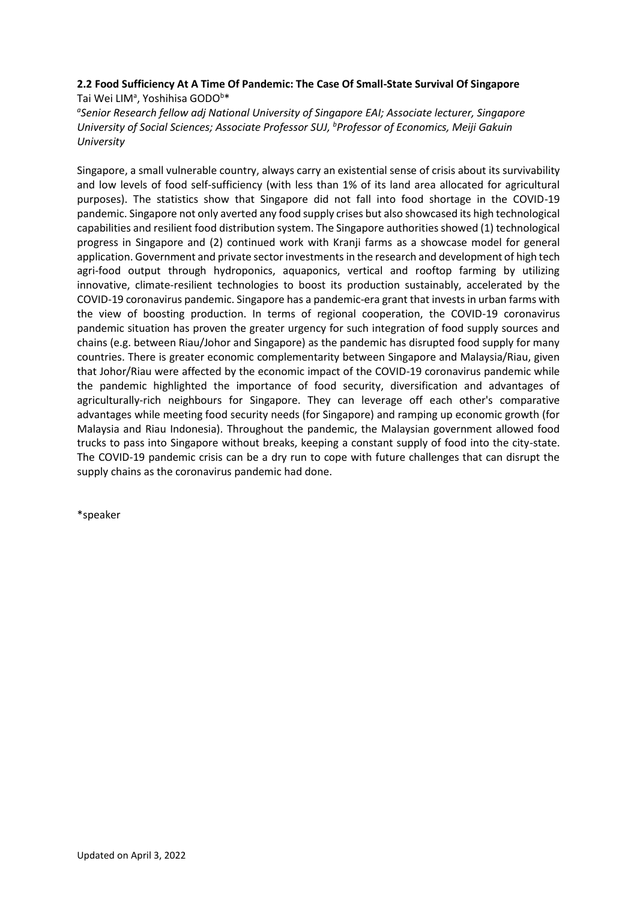# **2.2 Food Sufficiency At A Time Of Pandemic: The Case Of Small-State Survival Of Singapore** Tai Wei LIM<sup>a</sup>, Yoshihisa GODO<sup>b\*</sup>

*a Senior Research fellow adj National University of Singapore EAI; Associate lecturer, Singapore University of Social Sciences; Associate Professor SUJ, <sup>b</sup>Professor of Economics, Meiji Gakuin University*

Singapore, a small vulnerable country, always carry an existential sense of crisis about its survivability and low levels of food self-sufficiency (with less than 1% of its land area allocated for agricultural purposes). The statistics show that Singapore did not fall into food shortage in the COVID-19 pandemic. Singapore not only averted any food supply crises but also showcased its high technological capabilities and resilient food distribution system. The Singapore authorities showed (1) technological progress in Singapore and (2) continued work with Kranji farms as a showcase model for general application. Government and private sector investments in the research and development of high tech agri-food output through hydroponics, aquaponics, vertical and rooftop farming by utilizing innovative, climate-resilient technologies to boost its production sustainably, accelerated by the COVID-19 coronavirus pandemic. Singapore has a pandemic-era grant that invests in urban farms with the view of boosting production. In terms of regional cooperation, the COVID-19 coronavirus pandemic situation has proven the greater urgency for such integration of food supply sources and chains (e.g. between Riau/Johor and Singapore) as the pandemic has disrupted food supply for many countries. There is greater economic complementarity between Singapore and Malaysia/Riau, given that Johor/Riau were affected by the economic impact of the COVID-19 coronavirus pandemic while the pandemic highlighted the importance of food security, diversification and advantages of agriculturally-rich neighbours for Singapore. They can leverage off each other's comparative advantages while meeting food security needs (for Singapore) and ramping up economic growth (for Malaysia and Riau Indonesia). Throughout the pandemic, the Malaysian government allowed food trucks to pass into Singapore without breaks, keeping a constant supply of food into the city-state. The COVID-19 pandemic crisis can be a dry run to cope with future challenges that can disrupt the supply chains as the coronavirus pandemic had done.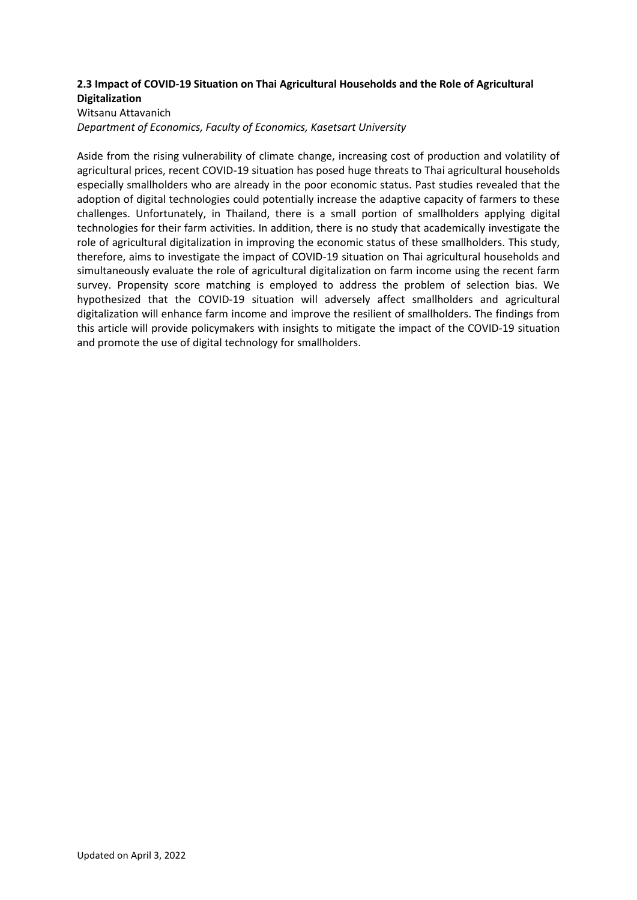# **2.3 Impact of COVID-19 Situation on Thai Agricultural Households and the Role of Agricultural Digitalization**

#### Witsanu Attavanich

*Department of Economics, Faculty of Economics, Kasetsart University*

Aside from the rising vulnerability of climate change, increasing cost of production and volatility of agricultural prices, recent COVID-19 situation has posed huge threats to Thai agricultural households especially smallholders who are already in the poor economic status. Past studies revealed that the adoption of digital technologies could potentially increase the adaptive capacity of farmers to these challenges. Unfortunately, in Thailand, there is a small portion of smallholders applying digital technologies for their farm activities. In addition, there is no study that academically investigate the role of agricultural digitalization in improving the economic status of these smallholders. This study, therefore, aims to investigate the impact of COVID-19 situation on Thai agricultural households and simultaneously evaluate the role of agricultural digitalization on farm income using the recent farm survey. Propensity score matching is employed to address the problem of selection bias. We hypothesized that the COVID-19 situation will adversely affect smallholders and agricultural digitalization will enhance farm income and improve the resilient of smallholders. The findings from this article will provide policymakers with insights to mitigate the impact of the COVID-19 situation and promote the use of digital technology for smallholders.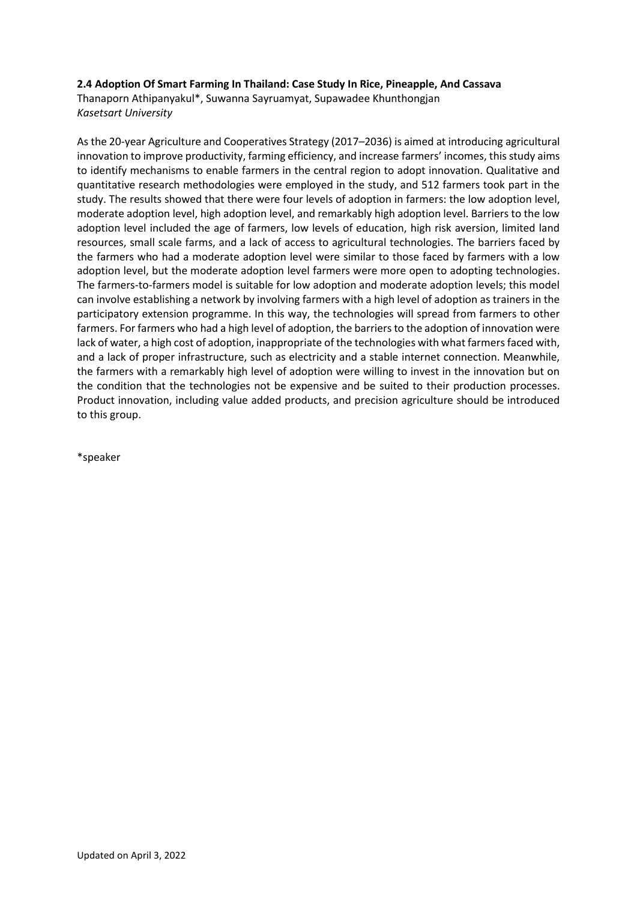#### **2.4 Adoption Of Smart Farming In Thailand: Case Study In Rice, Pineapple, And Cassava**

Thanaporn Athipanyakul\*, Suwanna Sayruamyat, Supawadee Khunthongjan *Kasetsart University*

As the 20-year Agriculture and Cooperatives Strategy (2017–2036) is aimed at introducing agricultural innovation to improve productivity, farming efficiency, and increase farmers' incomes, this study aims to identify mechanisms to enable farmers in the central region to adopt innovation. Qualitative and quantitative research methodologies were employed in the study, and 512 farmers took part in the study. The results showed that there were four levels of adoption in farmers: the low adoption level, moderate adoption level, high adoption level, and remarkably high adoption level. Barriers to the low adoption level included the age of farmers, low levels of education, high risk aversion, limited land resources, small scale farms, and a lack of access to agricultural technologies. The barriers faced by the farmers who had a moderate adoption level were similar to those faced by farmers with a low adoption level, but the moderate adoption level farmers were more open to adopting technologies. The farmers-to-farmers model is suitable for low adoption and moderate adoption levels; this model can involve establishing a network by involving farmers with a high level of adoption as trainers in the participatory extension programme. In this way, the technologies will spread from farmers to other farmers. For farmers who had a high level of adoption, the barriers to the adoption of innovation were lack of water, a high cost of adoption, inappropriate of the technologies with what farmers faced with, and a lack of proper infrastructure, such as electricity and a stable internet connection. Meanwhile, the farmers with a remarkably high level of adoption were willing to invest in the innovation but on the condition that the technologies not be expensive and be suited to their production processes. Product innovation, including value added products, and precision agriculture should be introduced to this group.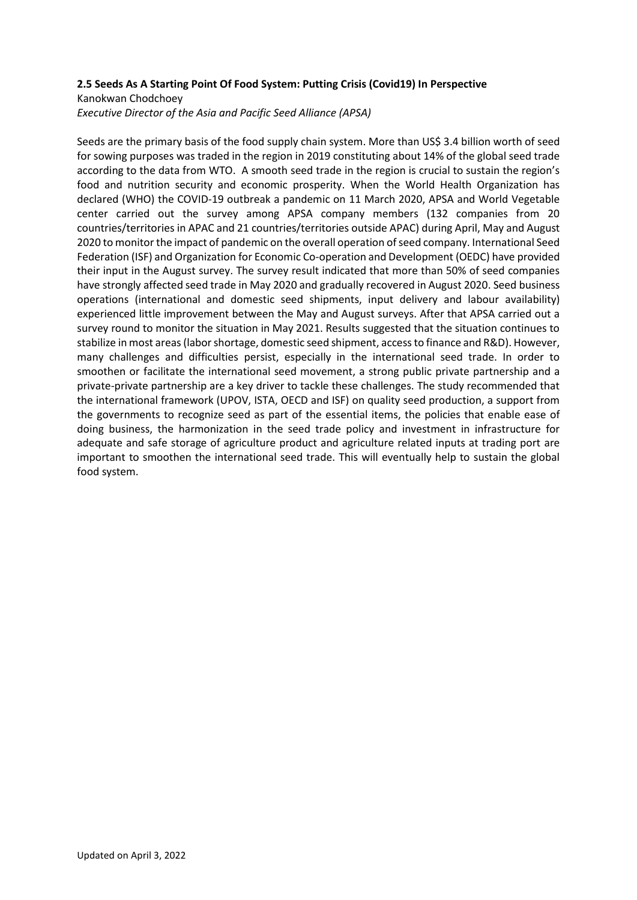## **2.5 Seeds As A Starting Point Of Food System: Putting Crisis (Covid19) In Perspective**

#### Kanokwan Chodchoey

*Executive Director of the Asia and Pacific Seed Alliance (APSA)*

Seeds are the primary basis of the food supply chain system. More than US\$ 3.4 billion worth of seed for sowing purposes was traded in the region in 2019 constituting about 14% of the global seed trade according to the data from WTO. A smooth seed trade in the region is crucial to sustain the region's food and nutrition security and economic prosperity. When the World Health Organization has declared (WHO) the COVID-19 outbreak a pandemic on 11 March 2020, APSA and World Vegetable center carried out the survey among APSA company members (132 companies from 20 countries/territories in APAC and 21 countries/territories outside APAC) during April, May and August 2020 to monitor the impact of pandemic on the overall operation of seed company. International Seed Federation (ISF) and Organization for Economic Co-operation and Development (OEDC) have provided their input in the August survey. The survey result indicated that more than 50% of seed companies have strongly affected seed trade in May 2020 and gradually recovered in August 2020. Seed business operations (international and domestic seed shipments, input delivery and labour availability) experienced little improvement between the May and August surveys. After that APSA carried out a survey round to monitor the situation in May 2021. Results suggested that the situation continues to stabilize in most areas (labor shortage, domestic seed shipment, access to finance and R&D). However, many challenges and difficulties persist, especially in the international seed trade. In order to smoothen or facilitate the international seed movement, a strong public private partnership and a private-private partnership are a key driver to tackle these challenges. The study recommended that the international framework (UPOV, ISTA, OECD and ISF) on quality seed production, a support from the governments to recognize seed as part of the essential items, the policies that enable ease of doing business, the harmonization in the seed trade policy and investment in infrastructure for adequate and safe storage of agriculture product and agriculture related inputs at trading port are important to smoothen the international seed trade. This will eventually help to sustain the global food system.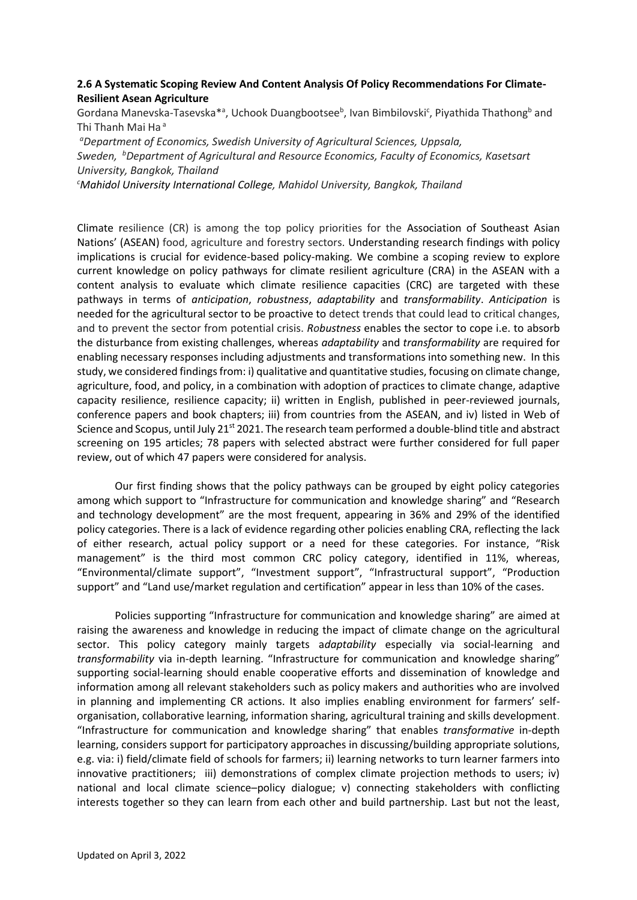### **2.6 A Systematic Scoping Review And Content Analysis Of Policy Recommendations For Climate-Resilient Asean Agriculture**

Gordana Manevska-Tasevska<sup>\*a</sup>, Uchook Duangbootsee<sup>b</sup>, Ivan Bimbilovski<sup>c</sup>, Piyathida Thathong<sup>b</sup> and Thi Thanh Mai Ha<sup>a</sup>

*<sup>a</sup>Department of Economics, Swedish University of Agricultural Sciences, Uppsala, Sweden, <sup>b</sup>Department of Agricultural and Resource Economics, Faculty of Economics, Kasetsart University, Bangkok, Thailand <sup>c</sup>Mahidol University International College, Mahidol University, Bangkok, Thailand*

Climate resilience (CR) is among the top policy priorities for the Association of Southeast Asian Nations' (ASEAN) food, agriculture and forestry sectors. Understanding research findings with policy implications is crucial for evidence-based policy-making. We combine a scoping review to explore current knowledge on policy pathways for climate resilient agriculture (CRA) in the ASEAN with a content analysis to evaluate which climate resilience capacities (CRC) are targeted with these pathways in terms of *anticipation*, *robustness*, *adaptability* and *transformability*. *Anticipation* is needed for the agricultural sector to be proactive to detect trends that could lead to critical changes, and to prevent the sector from potential crisis. *Robustness* enables the sector to cope i.e. to absorb the disturbance from existing challenges, whereas *adaptability* and *transformability* are required for enabling necessary responses including adjustments and transformations into something new. In this study, we considered findings from: i) qualitative and quantitative studies, focusing on climate change, agriculture, food, and policy, in a combination with adoption of practices to climate change, adaptive capacity resilience, resilience capacity; ii) written in English, published in peer-reviewed journals, conference papers and book chapters; iii) from countries from the ASEAN, and iv) listed in Web of Science and Scopus, until July 21<sup>st</sup> 2021. The research team performed a double-blind title and abstract screening on 195 articles; 78 papers with selected abstract were further considered for full paper review, out of which 47 papers were considered for analysis.

Our first finding shows that the policy pathways can be grouped by eight policy categories among which support to "Infrastructure for communication and knowledge sharing" and "Research and technology development" are the most frequent, appearing in 36% and 29% of the identified policy categories. There is a lack of evidence regarding other policies enabling CRA, reflecting the lack of either research, actual policy support or a need for these categories. For instance, "Risk management" is the third most common CRC policy category, identified in 11%, whereas, "Environmental/climate support", "Investment support", "Infrastructural support", "Production support" and "Land use/market regulation and certification" appear in less than 10% of the cases.

Policies supporting "Infrastructure for communication and knowledge sharing" are aimed at raising the awareness and knowledge in reducing the impact of climate change on the agricultural sector. This policy category mainly targets a*daptability* especially via social-learning and *transformability* via in-depth learning. "Infrastructure for communication and knowledge sharing" supporting social-learning should enable cooperative efforts and dissemination of knowledge and information among all relevant stakeholders such as policy makers and authorities who are involved in planning and implementing CR actions. It also implies enabling environment for farmers' selforganisation, collaborative learning, information sharing, agricultural training and skills development. "Infrastructure for communication and knowledge sharing" that enables *transformative* in-depth learning, considers support for participatory approaches in discussing/building appropriate solutions, e.g. via: i) field/climate field of schools for farmers; ii) learning networks to turn learner farmers into innovative practitioners; iii) demonstrations of complex climate projection methods to users; iv) national and local climate science–policy dialogue; v) connecting stakeholders with conflicting interests together so they can learn from each other and build partnership. Last but not the least,